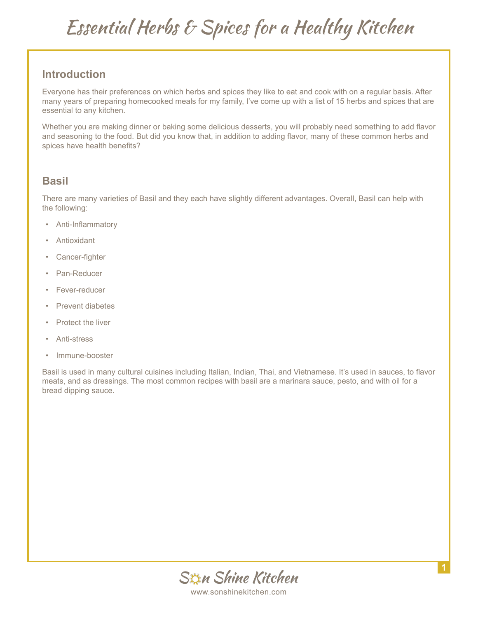### **Introduction**

Everyone has their preferences on which herbs and spices they like to eat and cook with on a regular basis. After many years of preparing homecooked meals for my family, I've come up with a list of 15 herbs and spices that are essential to any kitchen.

Whether you are making dinner or baking some delicious desserts, you will probably need something to add flavor and seasoning to the food. But did you know that, in addition to adding flavor, many of these common herbs and spices have health benefits?

#### **Basil**

There are many varieties of Basil and they each have slightly different advantages. Overall, Basil can help with the following:

- Anti-Inflammatory
- **Antioxidant**
- Cancer-fighter
- Pan-Reducer
- Fever-reducer
- Prevent diabetes
- Protect the liver
- Anti-stress
- Immune-booster

Basil is used in many cultural cuisines including Italian, Indian, Thai, and Vietnamese. It's used in sauces, to flavor meats, and as dressings. The most common recipes with basil are a marinara sauce, pesto, and with oil for a bread dipping sauce.

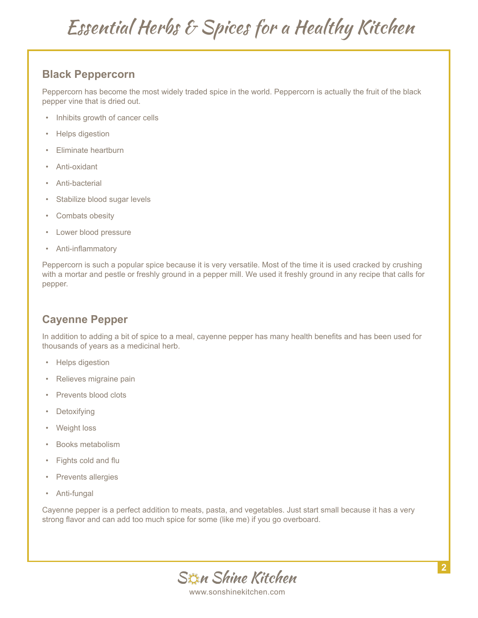### **Black Peppercorn**

Peppercorn has become the most widely traded spice in the world. Peppercorn is actually the fruit of the black pepper vine that is dried out.

- Inhibits growth of cancer cells
- Helps digestion
- Eliminate heartburn
- Anti-oxidant
- Anti-bacterial
- Stabilize blood sugar levels
- Combats obesity
- Lower blood pressure
- Anti-inflammatory

Peppercorn is such a popular spice because it is very versatile. Most of the time it is used cracked by crushing with a mortar and pestle or freshly ground in a pepper mill. We used it freshly ground in any recipe that calls for pepper.

#### **Cayenne Pepper**

In addition to adding a bit of spice to a meal, cayenne pepper has many health benefits and has been used for thousands of years as a medicinal herb.

- Helps digestion
- Relieves migraine pain
- Prevents blood clots
- **Detoxifying**
- Weight loss
- Books metabolism
- Fights cold and flu
- Prevents allergies
- Anti-fungal

Cayenne pepper is a perfect addition to meats, pasta, and vegetables. Just start small because it has a very strong flavor and can add too much spice for some (like me) if you go overboard.

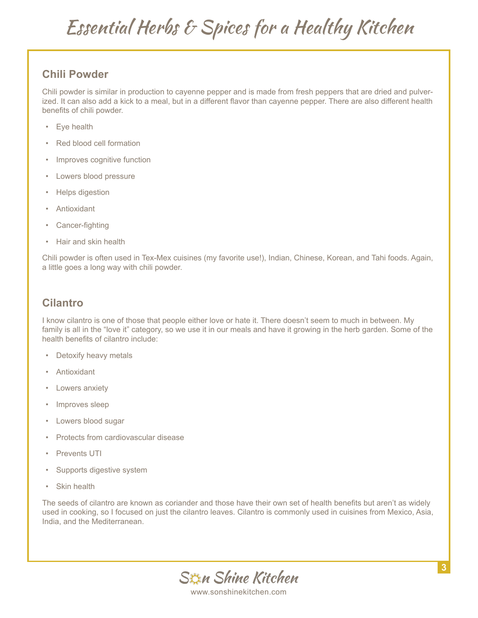### **Chili Powder**

Chili powder is similar in production to cayenne pepper and is made from fresh peppers that are dried and pulverized. It can also add a kick to a meal, but in a different flavor than cayenne pepper. There are also different health benefits of chili powder.

- Eye health
- Red blood cell formation
- Improves cognitive function
- Lowers blood pressure
- Helps digestion
- **Antioxidant**
- Cancer-fighting
- Hair and skin health

Chili powder is often used in Tex-Mex cuisines (my favorite use!), Indian, Chinese, Korean, and Tahi foods. Again, a little goes a long way with chili powder.

#### **Cilantro**

I know cilantro is one of those that people either love or hate it. There doesn't seem to much in between. My family is all in the "love it" category, so we use it in our meals and have it growing in the herb garden. Some of the health benefits of cilantro include:

- Detoxify heavy metals
- Antioxidant
- Lowers anxiety
- Improves sleep
- Lowers blood sugar
- Protects from cardiovascular disease
- Prevents UTI
- Supports digestive system
- **Skin health**

The seeds of cilantro are known as coriander and those have their own set of health benefits but aren't as widely used in cooking, so I focused on just the cilantro leaves. Cilantro is commonly used in cuisines from Mexico, Asia, India, and the Mediterranean.

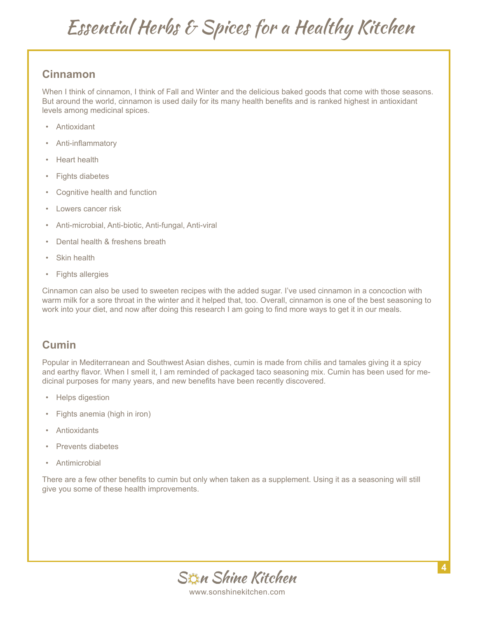#### **Cinnamon**

When I think of cinnamon, I think of Fall and Winter and the delicious baked goods that come with those seasons. But around the world, cinnamon is used daily for its many health benefits and is ranked highest in antioxidant levels among medicinal spices.

- Antioxidant
- Anti-inflammatory
- Heart health
- Fights diabetes
- Cognitive health and function
- Lowers cancer risk
- Anti-microbial, Anti-biotic, Anti-fungal, Anti-viral
- Dental health & freshens breath
- **Skin health**
- Fights allergies

Cinnamon can also be used to sweeten recipes with the added sugar. I've used cinnamon in a concoction with warm milk for a sore throat in the winter and it helped that, too. Overall, cinnamon is one of the best seasoning to work into your diet, and now after doing this research I am going to find more ways to get it in our meals.

#### **Cumin**

Popular in Mediterranean and Southwest Asian dishes, cumin is made from chilis and tamales giving it a spicy and earthy flavor. When I smell it, I am reminded of packaged taco seasoning mix. Cumin has been used for medicinal purposes for many years, and new benefits have been recently discovered.

- Helps digestion
- Fights anemia (high in iron)
- **Antioxidants**
- Prevents diabetes
- **Antimicrobial**

There are a few other benefits to cumin but only when taken as a supplement. Using it as a seasoning will still give you some of these health improvements.

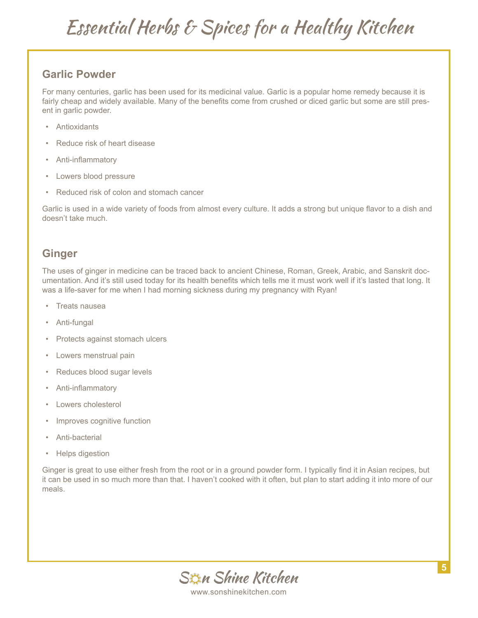#### **Garlic Powder**

For many centuries, garlic has been used for its medicinal value. Garlic is a popular home remedy because it is fairly cheap and widely available. Many of the benefits come from crushed or diced garlic but some are still present in garlic powder.

- Antioxidants
- Reduce risk of heart disease
- Anti-inflammatory
- Lowers blood pressure
- Reduced risk of colon and stomach cancer

Garlic is used in a wide variety of foods from almost every culture. It adds a strong but unique flavor to a dish and doesn't take much.

### **Ginger**

The uses of ginger in medicine can be traced back to ancient Chinese, Roman, Greek, Arabic, and Sanskrit documentation. And it's still used today for its health benefits which tells me it must work well if it's lasted that long. It was a life-saver for me when I had morning sickness during my pregnancy with Ryan!

- Treats nausea
- Anti-fungal
- Protects against stomach ulcers
- Lowers menstrual pain
- Reduces blood sugar levels
- Anti-inflammatory
- Lowers cholesterol
- Improves cognitive function
- Anti-bacterial
- Helps digestion

Ginger is great to use either fresh from the root or in a ground powder form. I typically find it in Asian recipes, but it can be used in so much more than that. I haven't cooked with it often, but plan to start adding it into more of our meals.

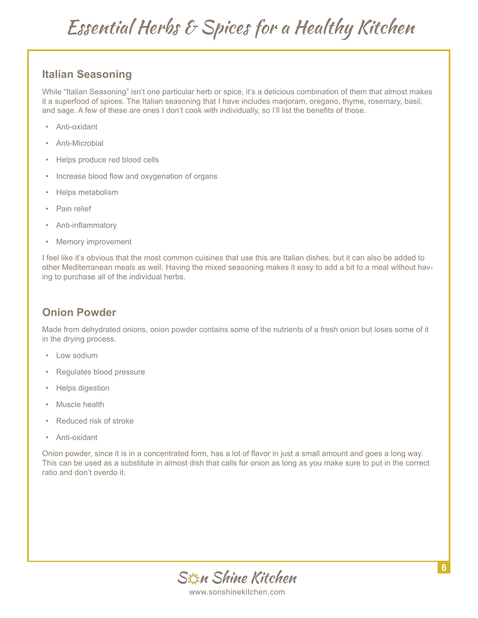#### **Italian Seasoning**

While "Italian Seasoning" isn't one particular herb or spice, it's a delicious combination of them that almost makes it a superfood of spices. The Italian seasoning that I have includes marjoram, oregano, thyme, rosemary, basil, and sage. A few of these are ones I don't cook with individually, so I'll list the benefits of those.

- Anti-oxidant
- Anti-Microbial
- Helps produce red blood cells
- Increase blood flow and oxygenation of organs
- Helps metabolism
- Pain relief
- Anti-inflammatory
- Memory improvement

I feel like it's obvious that the most common cuisines that use this are Italian dishes, but it can also be added to other Mediterranean meals as well. Having the mixed seasoning makes it easy to add a bit to a meal without having to purchase all of the individual herbs.

### **Onion Powder**

Made from dehydrated onions, onion powder contains some of the nutrients of a fresh onion but loses some of it in the drying process.

- Low sodium
- Regulates blood pressure
- Helps digestion
- Muscle health
- Reduced risk of stroke
- Anti-oxidant

Onion powder, since it is in a concentrated form, has a lot of flavor in just a small amount and goes a long way. This can be used as a substitute in almost dish that calls for onion as long as you make sure to put in the correct ratio and don't overdo it.

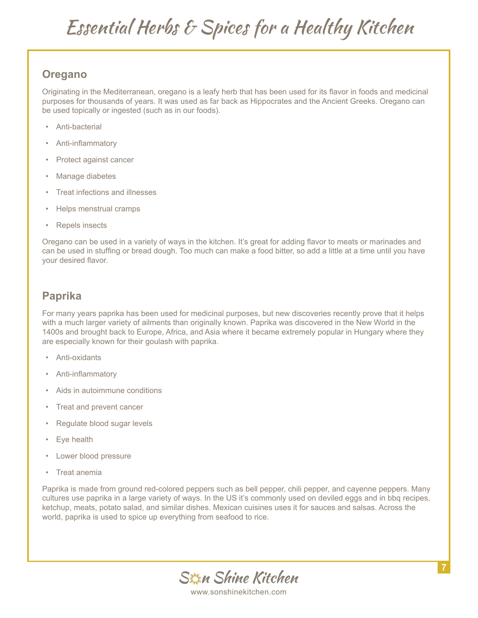### **Oregano**

Originating in the Mediterranean, oregano is a leafy herb that has been used for its flavor in foods and medicinal purposes for thousands of years. It was used as far back as Hippocrates and the Ancient Greeks. Oregano can be used topically or ingested (such as in our foods).

- Anti-bacterial
- Anti-inflammatory
- Protect against cancer
- Manage diabetes
- Treat infections and illnesses
- Helps menstrual cramps
- Repels insects

Oregano can be used in a variety of ways in the kitchen. It's great for adding flavor to meats or marinades and can be used in stuffing or bread dough. Too much can make a food bitter, so add a little at a time until you have your desired flavor.

#### **Paprika**

For many years paprika has been used for medicinal purposes, but new discoveries recently prove that it helps with a much larger variety of ailments than originally known. Paprika was discovered in the New World in the 1400s and brought back to Europe, Africa, and Asia where it became extremely popular in Hungary where they are especially known for their goulash with paprika.

- Anti-oxidants
- Anti-inflammatory
- Aids in autoimmune conditions
- Treat and prevent cancer
- Regulate blood sugar levels
- Eye health
- Lower blood pressure
- Treat anemia

Paprika is made from ground red-colored peppers such as bell pepper, chili pepper, and cayenne peppers. Many cultures use paprika in a large variety of ways. In the US it's commonly used on deviled eggs and in bbq recipes, ketchup, meats, potato salad, and similar dishes. Mexican cuisines uses it for sauces and salsas. Across the world, paprika is used to spice up everything from seafood to rice.

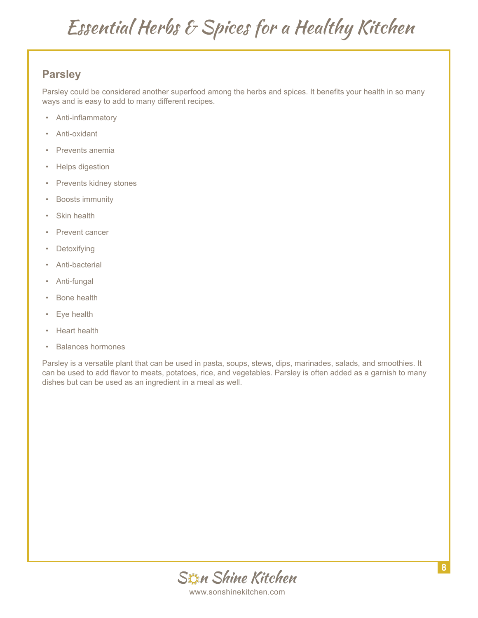### **Parsley**

Parsley could be considered another superfood among the herbs and spices. It benefits your health in so many ways and is easy to add to many different recipes.

- Anti-inflammatory
- Anti-oxidant
- Prevents anemia
- Helps digestion
- Prevents kidney stones
- Boosts immunity
- Skin health
- Prevent cancer
- Detoxifying
- Anti-bacterial
- Anti-fungal
- Bone health
- Eye health
- Heart health
- Balances hormones

Parsley is a versatile plant that can be used in pasta, soups, stews, dips, marinades, salads, and smoothies. It can be used to add flavor to meats, potatoes, rice, and vegetables. Parsley is often added as a garnish to many dishes but can be used as an ingredient in a meal as well.